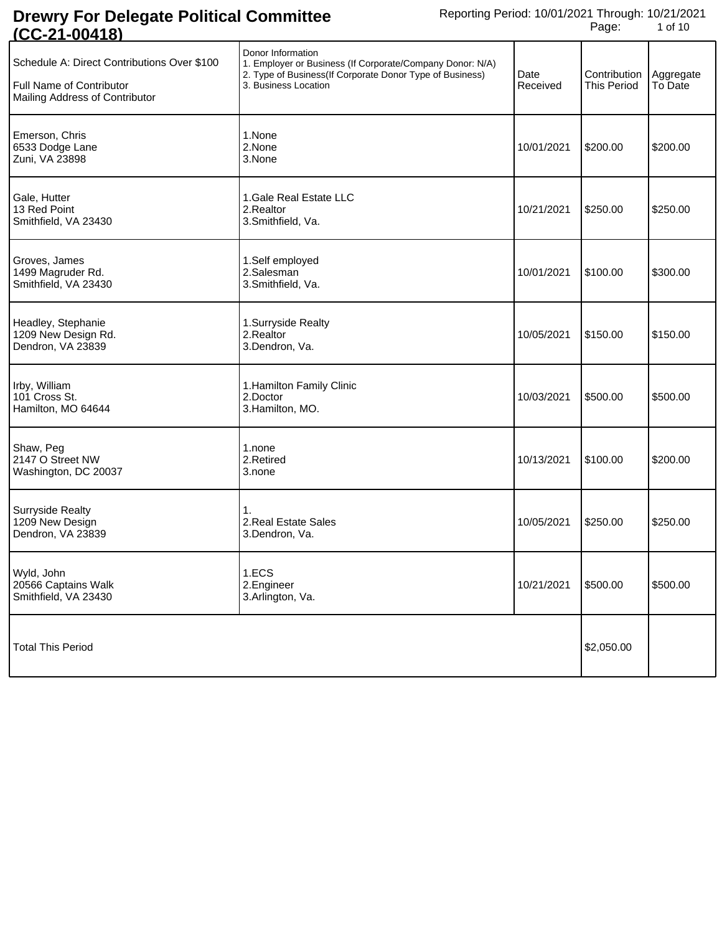| <u>100-21-004101</u>                                                                                      |                                                                                                                                                                    |                  |                             |                      |
|-----------------------------------------------------------------------------------------------------------|--------------------------------------------------------------------------------------------------------------------------------------------------------------------|------------------|-----------------------------|----------------------|
| Schedule A: Direct Contributions Over \$100<br>Full Name of Contributor<br>Mailing Address of Contributor | Donor Information<br>1. Employer or Business (If Corporate/Company Donor: N/A)<br>2. Type of Business(If Corporate Donor Type of Business)<br>3. Business Location | Date<br>Received | Contribution<br>This Period | Aggregate<br>To Date |
| Emerson, Chris<br>6533 Dodge Lane<br>Zuni, VA 23898                                                       | 1.None<br>2.None<br>3.None                                                                                                                                         | 10/01/2021       | \$200.00                    | \$200.00             |
| Gale, Hutter<br>13 Red Point<br>Smithfield, VA 23430                                                      | 1. Gale Real Estate LLC<br>2.Realtor<br>3.Smithfield, Va.                                                                                                          | 10/21/2021       | \$250.00                    | \$250.00             |
| Groves, James<br>1499 Magruder Rd.<br>Smithfield, VA 23430                                                | 1.Self employed<br>2.Salesman<br>3.Smithfield, Va.                                                                                                                 | 10/01/2021       | \$100.00                    | \$300.00             |
| Headley, Stephanie<br>1209 New Design Rd.<br>Dendron, VA 23839                                            | 1.Surryside Realty<br>2.Realtor<br>3.Dendron, Va.                                                                                                                  | 10/05/2021       | \$150.00                    | \$150.00             |
| Irby, William<br>101 Cross St.<br>Hamilton, MO 64644                                                      | 1. Hamilton Family Clinic<br>2.Doctor<br>3. Hamilton, MO.                                                                                                          | 10/03/2021       | \$500.00                    | \$500.00             |
| Shaw, Peg<br>2147 O Street NW<br>Washington, DC 20037                                                     | 1.none<br>2.Retired<br>3.none                                                                                                                                      | 10/13/2021       | \$100.00                    | \$200.00             |
| <b>Surryside Realty</b><br>1209 New Design<br>Dendron, VA 23839                                           | 1.<br>2. Real Estate Sales<br>3.Dendron, Va.                                                                                                                       | 10/05/2021       | \$250.00                    | \$250.00             |
| Wyld, John<br>20566 Captains Walk<br>Smithfield, VA 23430                                                 | 1.ECS<br>2.Engineer<br>3.Arlington, Va.                                                                                                                            | 10/21/2021       | \$500.00                    | \$500.00             |
| <b>Total This Period</b>                                                                                  |                                                                                                                                                                    |                  | \$2,050.00                  |                      |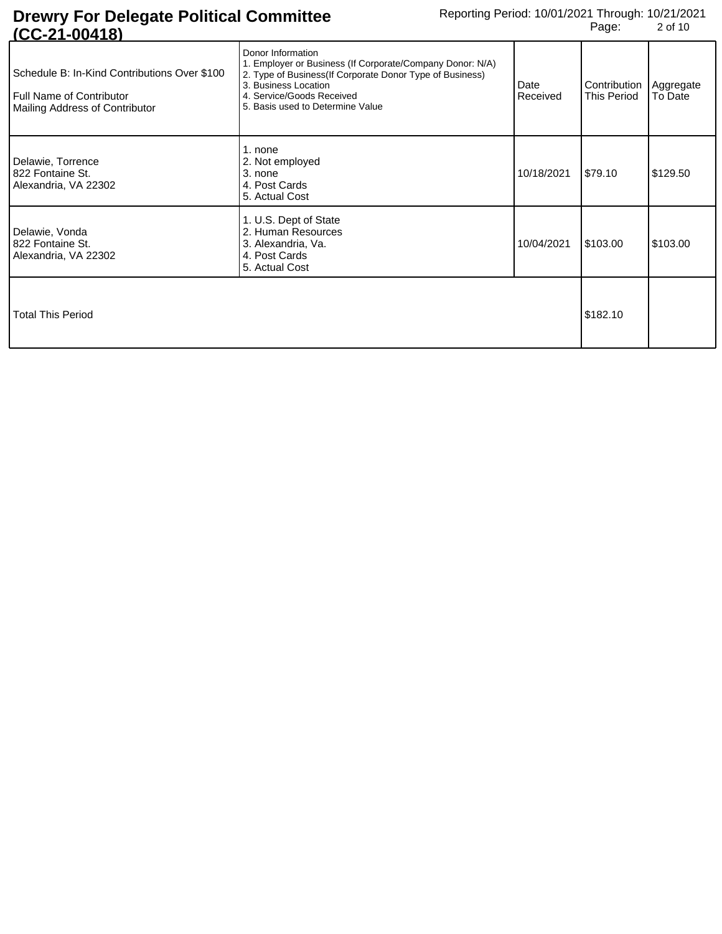| 1014-004                                                                                                   |                                                                                                                                                                                                                                      |                  |                                                |          |
|------------------------------------------------------------------------------------------------------------|--------------------------------------------------------------------------------------------------------------------------------------------------------------------------------------------------------------------------------------|------------------|------------------------------------------------|----------|
| Schedule B: In-Kind Contributions Over \$100<br>Full Name of Contributor<br>Mailing Address of Contributor | Donor Information<br>1. Employer or Business (If Corporate/Company Donor: N/A)<br>2. Type of Business (If Corporate Donor Type of Business)<br>3. Business Location<br>4. Service/Goods Received<br>5. Basis used to Determine Value | Date<br>Received | Contribution   Aggregate<br><b>This Period</b> | To Date  |
| Delawie, Torrence<br>822 Fontaine St.<br>Alexandria, VA 22302                                              | 1. none<br>2. Not employed<br>3. none<br>4. Post Cards<br>5. Actual Cost                                                                                                                                                             | 10/18/2021       | \$79.10                                        | \$129.50 |
| Delawie, Vonda<br>l 822 Fontaine St.<br>Alexandria, VA 22302                                               | 1. U.S. Dept of State<br>2. Human Resources<br>3. Alexandria, Va.<br>4. Post Cards<br>5. Actual Cost                                                                                                                                 | 10/04/2021       | \$103.00                                       | \$103.00 |
| <b>Total This Period</b>                                                                                   |                                                                                                                                                                                                                                      |                  | \$182.10                                       |          |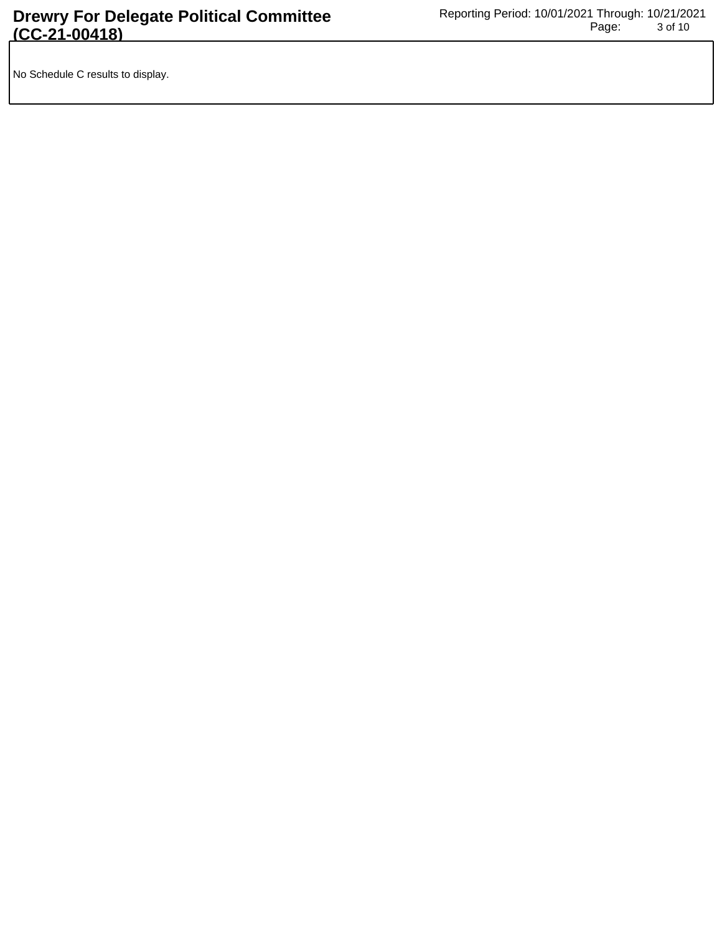No Schedule C results to display.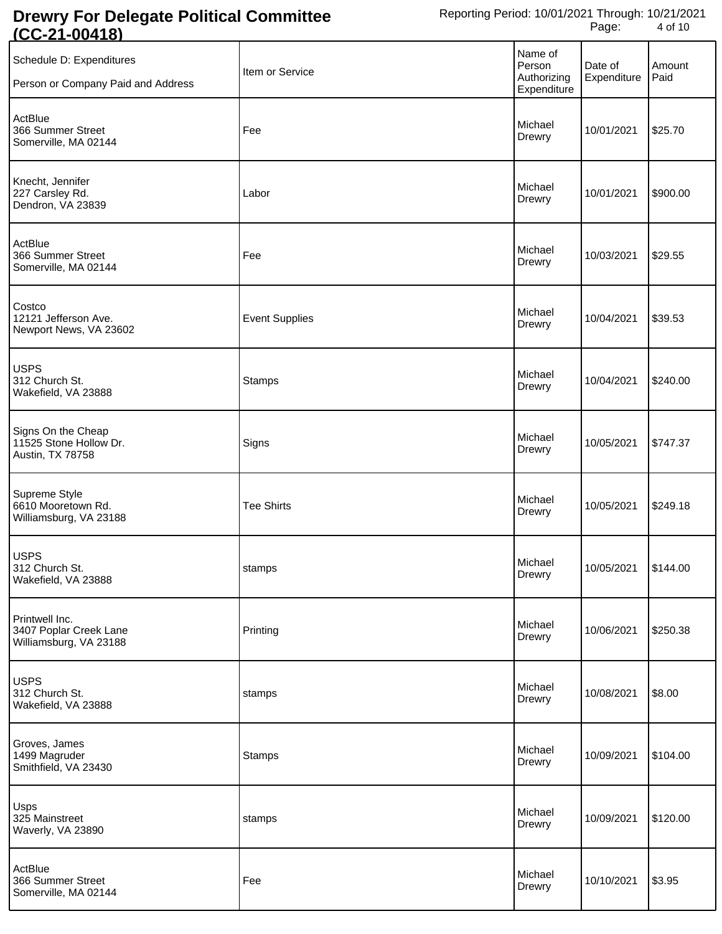| Schedule D: Expenditures<br>Person or Company Paid and Address     | Item or Service       | Name of<br>Person<br>Authorizing<br>Expenditure | Date of<br>Expenditure | Amount<br>Paid |
|--------------------------------------------------------------------|-----------------------|-------------------------------------------------|------------------------|----------------|
| ActBlue<br>366 Summer Street<br>Somerville, MA 02144               | Fee                   | Michael<br>Drewry                               | 10/01/2021             | \$25.70        |
| Knecht, Jennifer<br>227 Carsley Rd.<br>Dendron, VA 23839           | Labor                 | Michael<br>Drewry                               | 10/01/2021             | \$900.00       |
| ActBlue<br>366 Summer Street<br>Somerville, MA 02144               | Fee                   | Michael<br>Drewry                               | 10/03/2021             | \$29.55        |
| Costco<br>12121 Jefferson Ave.<br>Newport News, VA 23602           | <b>Event Supplies</b> | Michael<br>Drewry                               | 10/04/2021             | \$39.53        |
| <b>USPS</b><br>312 Church St.<br>Wakefield, VA 23888               | <b>Stamps</b>         | Michael<br>Drewry                               | 10/04/2021             | \$240.00       |
| Signs On the Cheap<br>11525 Stone Hollow Dr.<br>Austin, TX 78758   | Signs                 | Michael<br>Drewry                               | 10/05/2021             | \$747.37       |
| Supreme Style<br>6610 Mooretown Rd.<br>Williamsburg, VA 23188      | <b>Tee Shirts</b>     | Michael<br>Drewry                               | 10/05/2021             | \$249.18       |
| <b>USPS</b><br>312 Church St.<br>Wakefield, VA 23888               | stamps                | Michael<br>Drewry                               | 10/05/2021 \$144.00    |                |
| Printwell Inc.<br>3407 Poplar Creek Lane<br>Williamsburg, VA 23188 | Printing              | Michael<br>Drewry                               | 10/06/2021             | \$250.38       |
| <b>USPS</b><br>312 Church St.<br>Wakefield, VA 23888               | stamps                | Michael<br>Drewry                               | 10/08/2021             | \$8.00         |
| Groves, James<br>1499 Magruder<br>Smithfield, VA 23430             | <b>Stamps</b>         | Michael<br>Drewry                               | 10/09/2021             | \$104.00       |
| Usps<br>325 Mainstreet<br>Waverly, VA 23890                        | stamps                | Michael<br>Drewry                               | 10/09/2021             | \$120.00       |
| ActBlue<br>366 Summer Street<br>Somerville, MA 02144               | Fee                   | Michael<br>Drewry                               | 10/10/2021             | \$3.95         |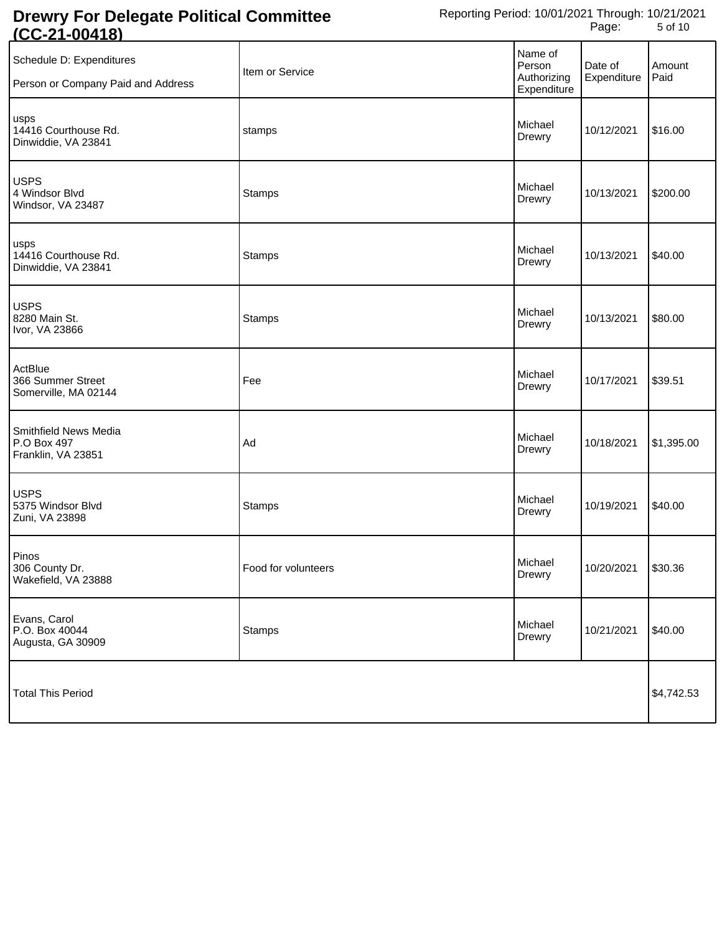| <u>1 JULIE 1 JULIE 1 JU</u>                                    |                     |                                                 |                        |                |
|----------------------------------------------------------------|---------------------|-------------------------------------------------|------------------------|----------------|
| Schedule D: Expenditures<br>Person or Company Paid and Address | Item or Service     | Name of<br>Person<br>Authorizing<br>Expenditure | Date of<br>Expenditure | Amount<br>Paid |
| usps<br>14416 Courthouse Rd.<br>Dinwiddie, VA 23841            | stamps              | Michael<br>Drewry                               | 10/12/2021             | \$16.00        |
| <b>USPS</b><br>4 Windsor Blvd<br>Windsor, VA 23487             | <b>Stamps</b>       | Michael<br>Drewry                               | 10/13/2021             | \$200.00       |
| usps<br>14416 Courthouse Rd.<br>Dinwiddie, VA 23841            | <b>Stamps</b>       | Michael<br>Drewry                               | 10/13/2021             | \$40.00        |
| <b>USPS</b><br>8280 Main St.<br>Ivor, VA 23866                 | <b>Stamps</b>       | Michael<br>Drewry                               | 10/13/2021             | \$80.00        |
| ActBlue<br>366 Summer Street<br>Somerville, MA 02144           | Fee                 | Michael<br>Drewry                               | 10/17/2021             | \$39.51        |
| Smithfield News Media<br>P.O Box 497<br>Franklin, VA 23851     | Ad                  | Michael<br>Drewry                               | 10/18/2021             | \$1,395.00     |
| <b>USPS</b><br>5375 Windsor Blvd<br>Zuni, VA 23898             | <b>Stamps</b>       | Michael<br>Drewry                               | 10/19/2021             | \$40.00        |
| Pinos<br>306 County Dr.<br>Wakefield, VA 23888                 | Food for volunteers | Michael<br>Drewry                               | 10/20/2021 \$30.36     |                |
| Evans, Carol<br>P.O. Box 40044<br>Augusta, GA 30909            | <b>Stamps</b>       | Michael<br>Drewry                               | 10/21/2021             | \$40.00        |
| <b>Total This Period</b>                                       |                     |                                                 |                        | \$4,742.53     |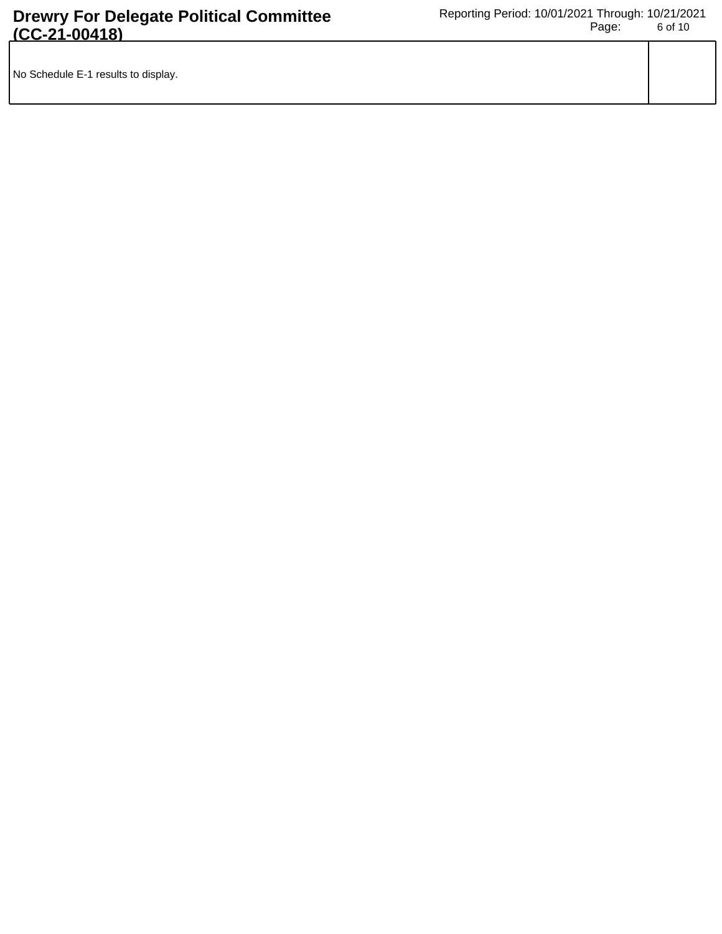| No Schedule E-1 results to display. |  |
|-------------------------------------|--|
|                                     |  |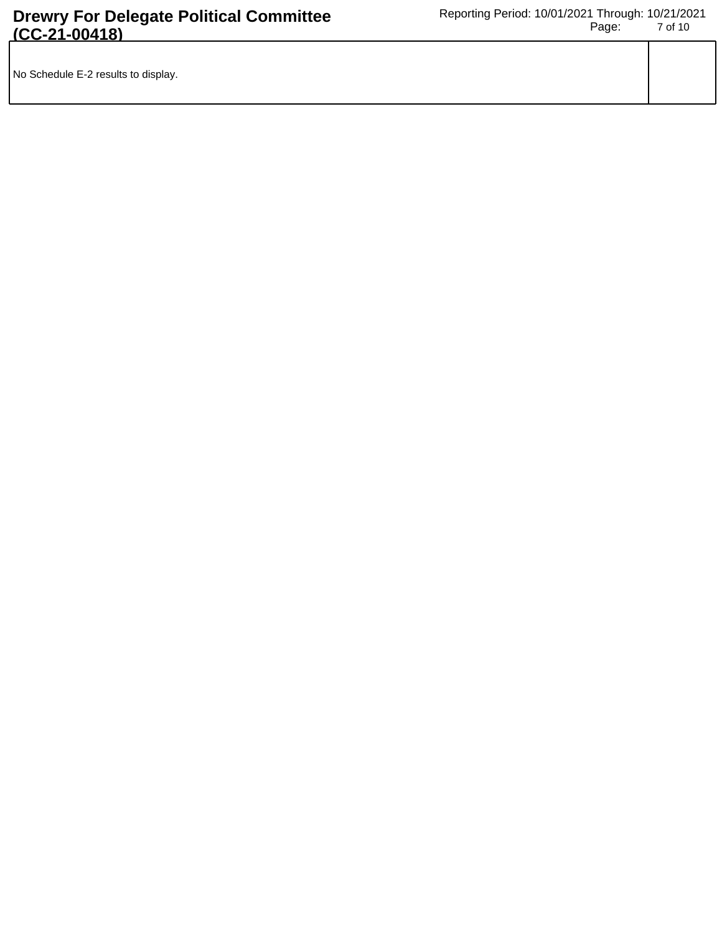| No Schedule E-2 results to display. |  |
|-------------------------------------|--|
|                                     |  |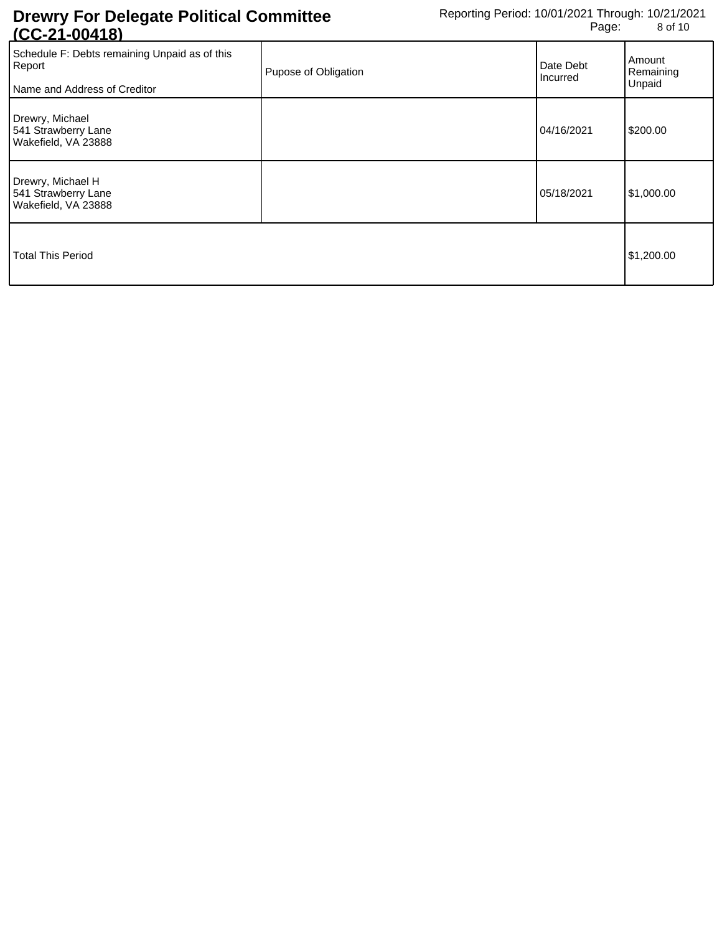| <u>100-41-004101</u>                                                                    |                      |                       |                               |
|-----------------------------------------------------------------------------------------|----------------------|-----------------------|-------------------------------|
| Schedule F: Debts remaining Unpaid as of this<br>Report<br>Name and Address of Creditor | Pupose of Obligation | Date Debt<br>Incurred | Amount<br>Remaining<br>Unpaid |
| Drewry, Michael<br>541 Strawberry Lane<br>Wakefield, VA 23888                           |                      | 04/16/2021            | \$200.00                      |
| Drewry, Michael H<br>541 Strawberry Lane<br>Wakefield, VA 23888                         |                      | 05/18/2021            | \$1,000.00                    |
| <b>Total This Period</b>                                                                |                      |                       | \$1,200.00                    |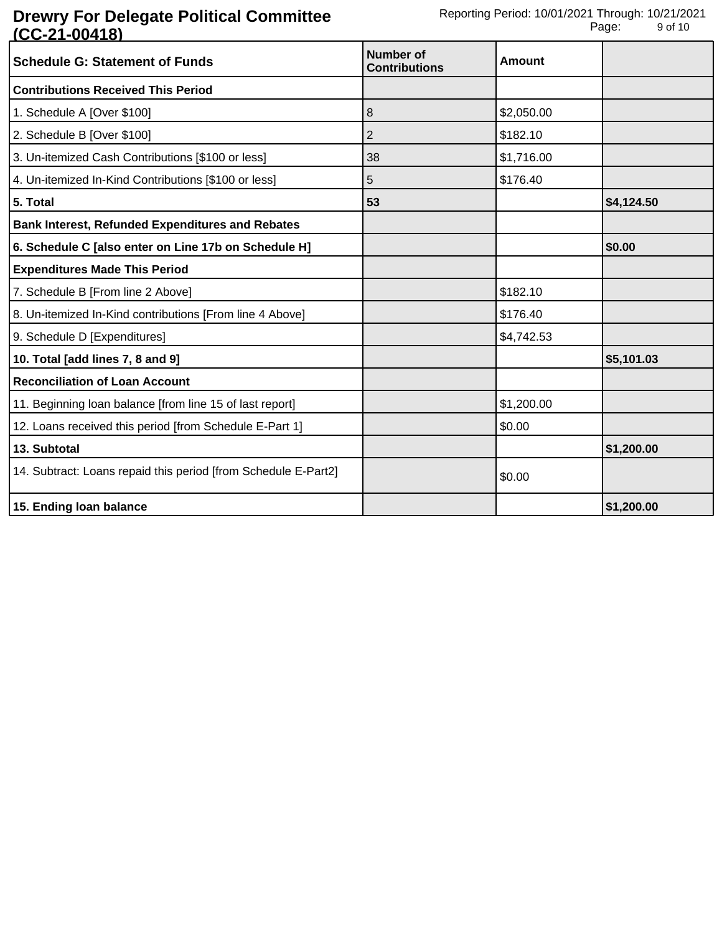| <b>Schedule G: Statement of Funds</b>                          | Number of<br><b>Contributions</b> | <b>Amount</b> |            |
|----------------------------------------------------------------|-----------------------------------|---------------|------------|
| <b>Contributions Received This Period</b>                      |                                   |               |            |
| 1. Schedule A [Over \$100]                                     | 8                                 | \$2,050.00    |            |
| 2. Schedule B [Over \$100]                                     | 2                                 | \$182.10      |            |
| 3. Un-itemized Cash Contributions [\$100 or less]              | 38                                | \$1,716.00    |            |
| 4. Un-itemized In-Kind Contributions [\$100 or less]           | 5                                 | \$176.40      |            |
| 5. Total                                                       | 53                                |               | \$4,124.50 |
| <b>Bank Interest, Refunded Expenditures and Rebates</b>        |                                   |               |            |
| 6. Schedule C [also enter on Line 17b on Schedule H]           |                                   |               | \$0.00     |
| <b>Expenditures Made This Period</b>                           |                                   |               |            |
| 7. Schedule B [From line 2 Above]                              |                                   | \$182.10      |            |
| 8. Un-itemized In-Kind contributions [From line 4 Above]       |                                   | \$176.40      |            |
| 9. Schedule D [Expenditures]                                   |                                   | \$4,742.53    |            |
| 10. Total [add lines 7, 8 and 9]                               |                                   |               | \$5,101.03 |
| <b>Reconciliation of Loan Account</b>                          |                                   |               |            |
| 11. Beginning loan balance [from line 15 of last report]       |                                   | \$1,200.00    |            |
| 12. Loans received this period [from Schedule E-Part 1]        |                                   | \$0.00        |            |
| 13. Subtotal                                                   |                                   |               | \$1,200.00 |
| 14. Subtract: Loans repaid this period [from Schedule E-Part2] |                                   | \$0.00        |            |
| 15. Ending loan balance                                        |                                   |               | \$1,200.00 |